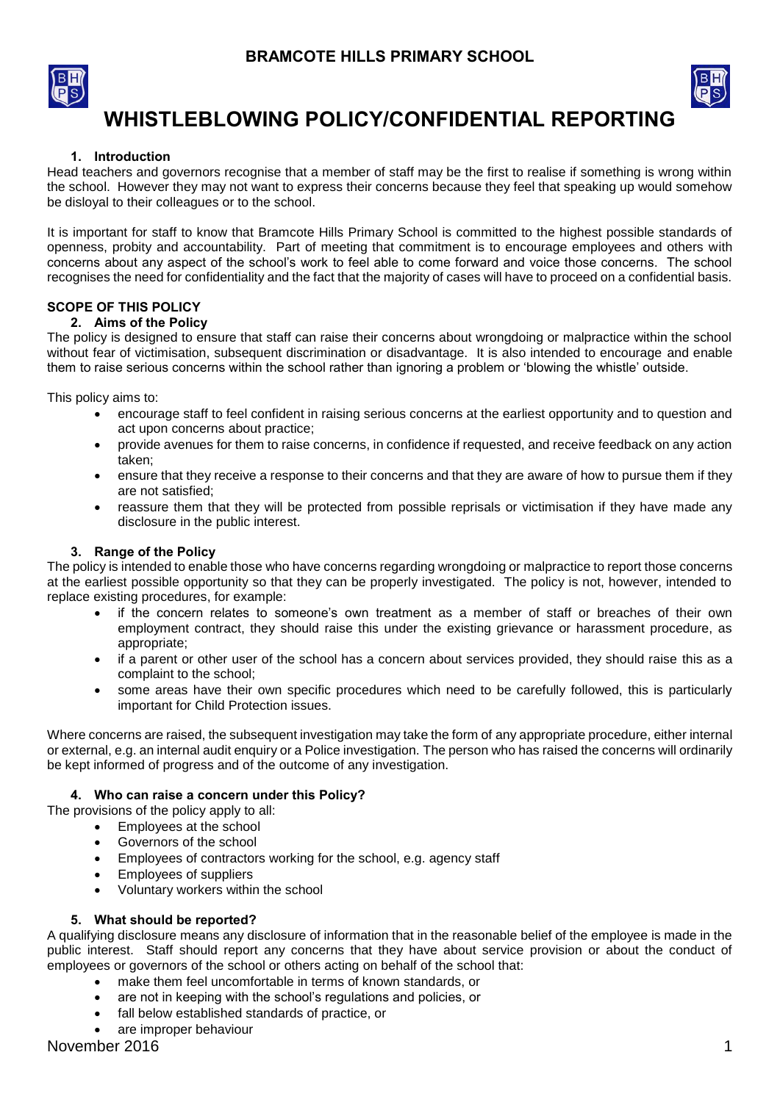



# **WHISTLEBLOWING POLICY/CONFIDENTIAL REPORTING**

# **1. Introduction**

Head teachers and governors recognise that a member of staff may be the first to realise if something is wrong within the school. However they may not want to express their concerns because they feel that speaking up would somehow be disloyal to their colleagues or to the school.

It is important for staff to know that Bramcote Hills Primary School is committed to the highest possible standards of openness, probity and accountability. Part of meeting that commitment is to encourage employees and others with concerns about any aspect of the school's work to feel able to come forward and voice those concerns. The school recognises the need for confidentiality and the fact that the majority of cases will have to proceed on a confidential basis.

# **SCOPE OF THIS POLICY**

# **2. Aims of the Policy**

The policy is designed to ensure that staff can raise their concerns about wrongdoing or malpractice within the school without fear of victimisation, subsequent discrimination or disadvantage. It is also intended to encourage and enable them to raise serious concerns within the school rather than ignoring a problem or 'blowing the whistle' outside.

This policy aims to:

- encourage staff to feel confident in raising serious concerns at the earliest opportunity and to question and act upon concerns about practice;
- provide avenues for them to raise concerns, in confidence if requested, and receive feedback on any action taken;
- ensure that they receive a response to their concerns and that they are aware of how to pursue them if they are not satisfied;
- reassure them that they will be protected from possible reprisals or victimisation if they have made any disclosure in the public interest.

# **3. Range of the Policy**

The policy is intended to enable those who have concerns regarding wrongdoing or malpractice to report those concerns at the earliest possible opportunity so that they can be properly investigated. The policy is not, however, intended to replace existing procedures, for example:

- if the concern relates to someone's own treatment as a member of staff or breaches of their own employment contract, they should raise this under the existing grievance or harassment procedure, as appropriate;
- if a parent or other user of the school has a concern about services provided, they should raise this as a complaint to the school;
- some areas have their own specific procedures which need to be carefully followed, this is particularly important for Child Protection issues.

Where concerns are raised, the subsequent investigation may take the form of any appropriate procedure, either internal or external, e.g. an internal audit enquiry or a Police investigation. The person who has raised the concerns will ordinarily be kept informed of progress and of the outcome of any investigation.

# **4. Who can raise a concern under this Policy?**

The provisions of the policy apply to all:

- Employees at the school
- Governors of the school
- Employees of contractors working for the school, e.g. agency staff
- Employees of suppliers
- Voluntary workers within the school

# **5. What should be reported?**

A qualifying disclosure means any disclosure of information that in the reasonable belief of the employee is made in the public interest. Staff should report any concerns that they have about service provision or about the conduct of employees or governors of the school or others acting on behalf of the school that:

- make them feel uncomfortable in terms of known standards, or
- are not in keeping with the school's regulations and policies, or
- fall below established standards of practice, or
- are improper behaviour

November 2016 **1**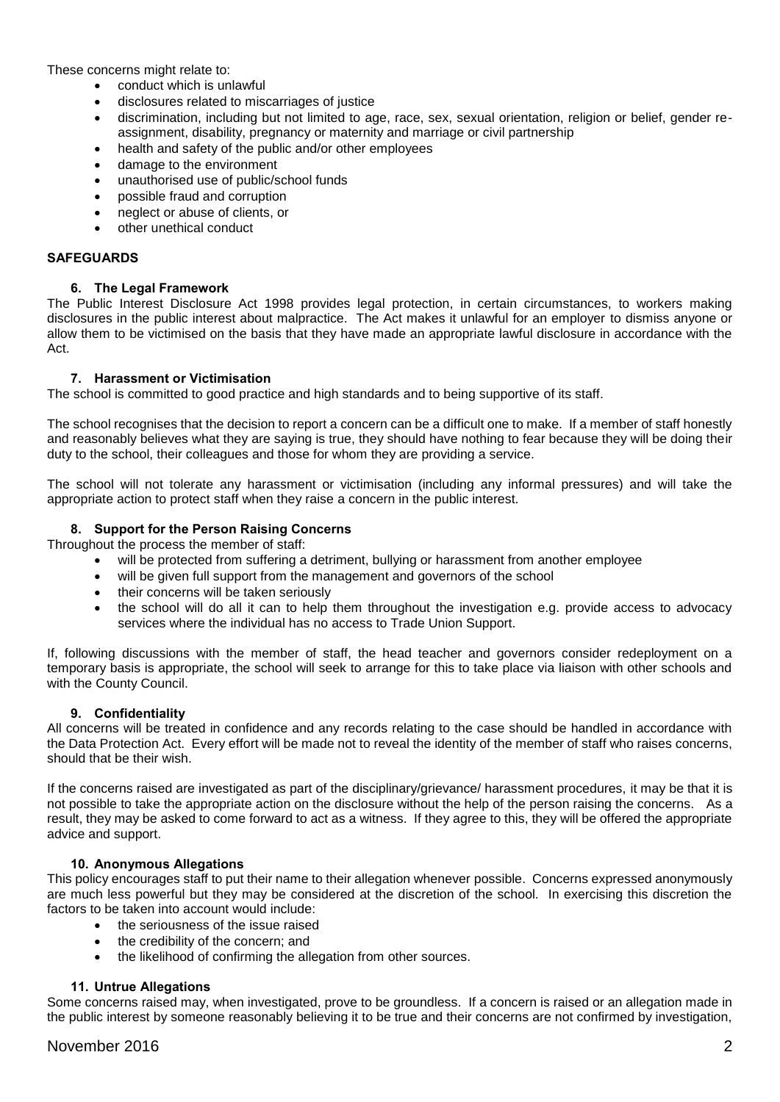These concerns might relate to:

- conduct which is unlawful
- disclosures related to miscarriages of justice
- discrimination, including but not limited to age, race, sex, sexual orientation, religion or belief, gender reassignment, disability, pregnancy or maternity and marriage or civil partnership
- health and safety of the public and/or other employees
- damage to the environment
- unauthorised use of public/school funds
- possible fraud and corruption
- neglect or abuse of clients, or
- other unethical conduct

# **SAFEGUARDS**

## **6. The Legal Framework**

The Public Interest Disclosure Act 1998 provides legal protection, in certain circumstances, to workers making disclosures in the public interest about malpractice. The Act makes it unlawful for an employer to dismiss anyone or allow them to be victimised on the basis that they have made an appropriate lawful disclosure in accordance with the Act.

## **7. Harassment or Victimisation**

The school is committed to good practice and high standards and to being supportive of its staff.

The school recognises that the decision to report a concern can be a difficult one to make. If a member of staff honestly and reasonably believes what they are saying is true, they should have nothing to fear because they will be doing their duty to the school, their colleagues and those for whom they are providing a service.

The school will not tolerate any harassment or victimisation (including any informal pressures) and will take the appropriate action to protect staff when they raise a concern in the public interest.

## **8. Support for the Person Raising Concerns**

Throughout the process the member of staff:

- will be protected from suffering a detriment, bullying or harassment from another employee
- will be given full support from the management and governors of the school
- their concerns will be taken seriously
- the school will do all it can to help them throughout the investigation e.g. provide access to advocacy services where the individual has no access to Trade Union Support.

If, following discussions with the member of staff, the head teacher and governors consider redeployment on a temporary basis is appropriate, the school will seek to arrange for this to take place via liaison with other schools and with the County Council.

#### **9. Confidentiality**

All concerns will be treated in confidence and any records relating to the case should be handled in accordance with the Data Protection Act. Every effort will be made not to reveal the identity of the member of staff who raises concerns, should that be their wish.

If the concerns raised are investigated as part of the disciplinary/grievance/ harassment procedures, it may be that it is not possible to take the appropriate action on the disclosure without the help of the person raising the concerns. As a result, they may be asked to come forward to act as a witness. If they agree to this, they will be offered the appropriate advice and support.

#### **10. Anonymous Allegations**

This policy encourages staff to put their name to their allegation whenever possible. Concerns expressed anonymously are much less powerful but they may be considered at the discretion of the school. In exercising this discretion the factors to be taken into account would include:

- the seriousness of the issue raised
- the credibility of the concern; and
- the likelihood of confirming the allegation from other sources.

#### **11. Untrue Allegations**

Some concerns raised may, when investigated, prove to be groundless. If a concern is raised or an allegation made in the public interest by someone reasonably believing it to be true and their concerns are not confirmed by investigation,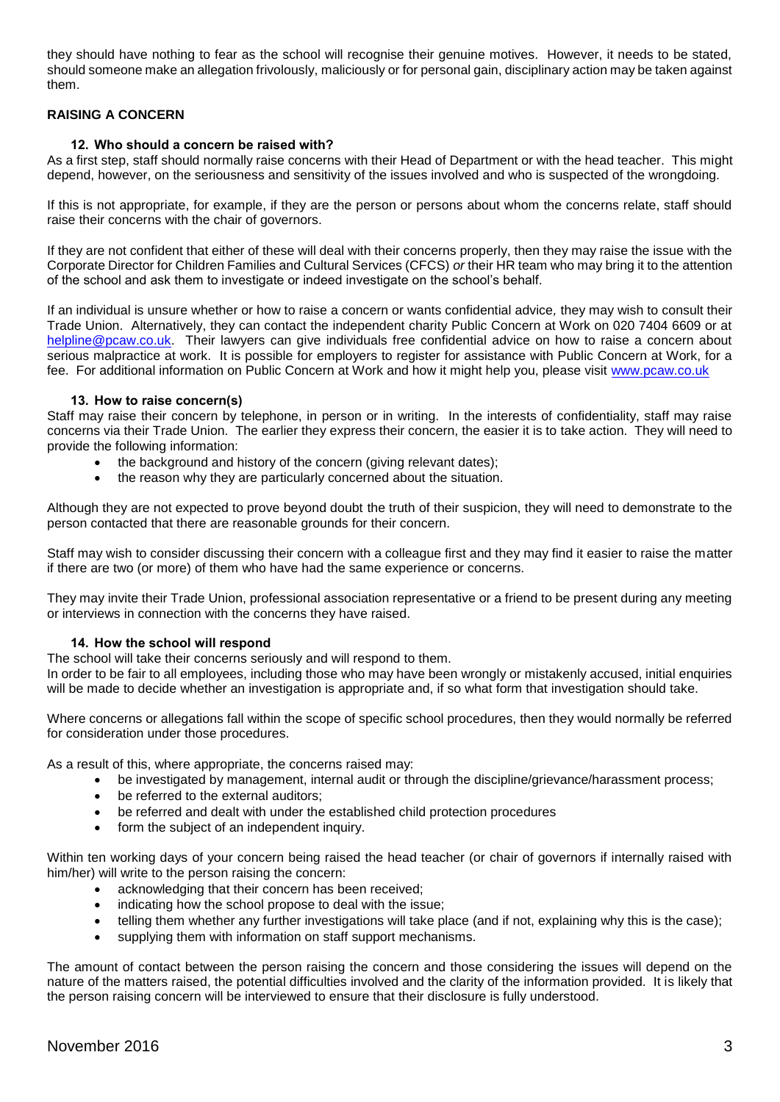they should have nothing to fear as the school will recognise their genuine motives. However, it needs to be stated, should someone make an allegation frivolously, maliciously or for personal gain, disciplinary action may be taken against them.

# **RAISING A CONCERN**

## **12. Who should a concern be raised with?**

As a first step, staff should normally raise concerns with their Head of Department or with the head teacher. This might depend, however, on the seriousness and sensitivity of the issues involved and who is suspected of the wrongdoing.

If this is not appropriate, for example, if they are the person or persons about whom the concerns relate, staff should raise their concerns with the chair of governors.

If they are not confident that either of these will deal with their concerns properly, then they may raise the issue with the Corporate Director for Children Families and Cultural Services (CFCS) *or* their HR team who may bring it to the attention of the school and ask them to investigate or indeed investigate on the school's behalf.

If an individual is unsure whether or how to raise a concern or wants confidential advice*,* they may wish to consult their Trade Union. Alternatively, they can contact the independent charity Public Concern at Work on 020 7404 6609 or at [helpline@pcaw.co.uk.](mailto:helpline@pcaw.co.uk) Their lawyers can give individuals free confidential advice on how to raise a concern about serious malpractice at work. It is possible for employers to register for assistance with Public Concern at Work, for a fee. For additional information on Public Concern at Work and how it might help you, please visit [www.pcaw.co.uk](http://www.pcaw.co.uk/)

## **13. How to raise concern(s)**

Staff may raise their concern by telephone, in person or in writing. In the interests of confidentiality, staff may raise concerns via their Trade Union. The earlier they express their concern, the easier it is to take action. They will need to provide the following information:

- the background and history of the concern (giving relevant dates);
- the reason why they are particularly concerned about the situation.

Although they are not expected to prove beyond doubt the truth of their suspicion, they will need to demonstrate to the person contacted that there are reasonable grounds for their concern.

Staff may wish to consider discussing their concern with a colleague first and they may find it easier to raise the matter if there are two (or more) of them who have had the same experience or concerns.

They may invite their Trade Union, professional association representative or a friend to be present during any meeting or interviews in connection with the concerns they have raised.

#### **14. How the school will respond**

The school will take their concerns seriously and will respond to them.

In order to be fair to all employees, including those who may have been wrongly or mistakenly accused, initial enquiries will be made to decide whether an investigation is appropriate and, if so what form that investigation should take.

Where concerns or allegations fall within the scope of specific school procedures, then they would normally be referred for consideration under those procedures.

As a result of this, where appropriate, the concerns raised may:

- be investigated by management, internal audit or through the discipline/grievance/harassment process;
- be referred to the external auditors;
- be referred and dealt with under the established child protection procedures
- form the subject of an independent inquiry.

Within ten working days of your concern being raised the head teacher (or chair of governors if internally raised with him/her) will write to the person raising the concern:

- acknowledging that their concern has been received;
- indicating how the school propose to deal with the issue;
- telling them whether any further investigations will take place (and if not, explaining why this is the case);
- supplying them with information on staff support mechanisms.

The amount of contact between the person raising the concern and those considering the issues will depend on the nature of the matters raised, the potential difficulties involved and the clarity of the information provided. It is likely that the person raising concern will be interviewed to ensure that their disclosure is fully understood.